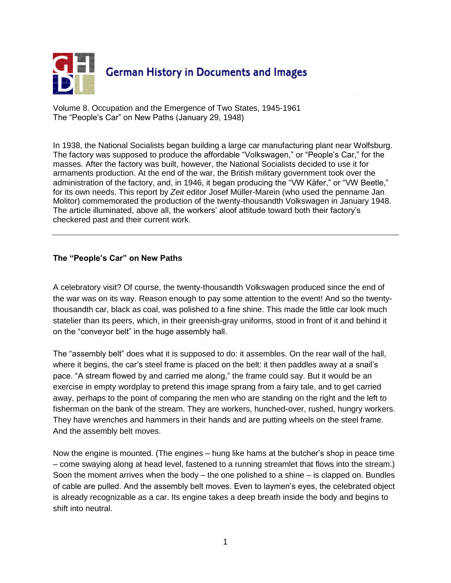

Volume 8. Occupation and the Emergence of Two States, 1945-1961 The "People's Car" on New Paths (January 29, 1948)

In 1938, the National Socialists began building a large car manufacturing plant near Wolfsburg. The factory was supposed to produce the affordable "Volkswagen," or "People's Car," for the masses. After the factory was built, however, the National Socialists decided to use it for armaments production. At the end of the war, the British military government took over the administration of the factory, and, in 1946, it began producing the "VW Käfer," or "VW Beetle," for its own needs. This report by *Zeit* editor Josef Müller-Marein (who used the penname Jan Molitor) commemorated the production of the twenty-thousandth Volkswagen in January 1948. The article illuminated, above all, the workers' aloof attitude toward both their factory's checkered past and their current work.

## **The "People's Car" on New Paths**

A celebratory visit? Of course, the twenty-thousandth Volkswagen produced since the end of the war was on its way. Reason enough to pay some attention to the event! And so the twentythousandth car, black as coal, was polished to a fine shine. This made the little car look much statelier than its peers, which, in their greenish-gray uniforms, stood in front of it and behind it on the "conveyor belt" in the huge assembly hall.

The "assembly belt" does what it is supposed to do: it assembles. On the rear wall of the hall, where it begins, the car's steel frame is placed on the belt: it then paddles away at a snail's pace. "A stream flowed by and carried me along," the frame could say. But it would be an exercise in empty wordplay to pretend this image sprang from a fairy tale, and to get carried away, perhaps to the point of comparing the men who are standing on the right and the left to fisherman on the bank of the stream. They are workers, hunched-over, rushed, hungry workers. They have wrenches and hammers in their hands and are putting wheels on the steel frame. And the assembly belt moves.

Now the engine is mounted. (The engines – hung like hams at the butcher's shop in peace time – come swaying along at head level, fastened to a running streamlet that flows into the stream.) Soon the moment arrives when the body  $-$  the one polished to a shine  $-$  is clapped on. Bundles of cable are pulled. And the assembly belt moves. Even to laymen's eyes, the celebrated object is already recognizable as a car. Its engine takes a deep breath inside the body and begins to shift into neutral.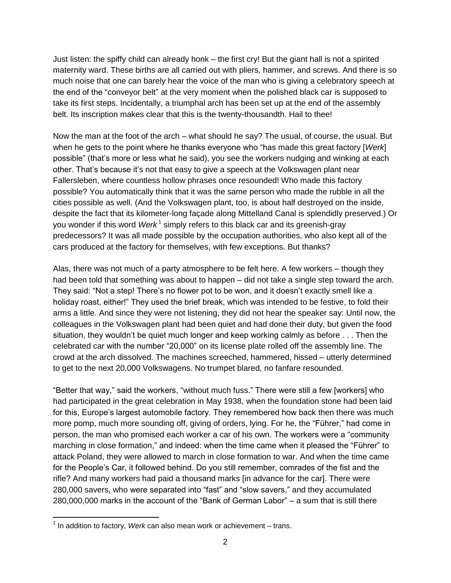Just listen: the spiffy child can already honk – the first cry! But the giant hall is not a spirited maternity ward. These births are all carried out with pliers, hammer, and screws. And there is so much noise that one can barely hear the voice of the man who is giving a celebratory speech at the end of the "conveyor belt" at the very moment when the polished black car is supposed to take its first steps. Incidentally, a triumphal arch has been set up at the end of the assembly belt. Its inscription makes clear that this is the twenty-thousandth. Hail to thee!

Now the man at the foot of the arch – what should he say? The usual, of course, the usual. But when he gets to the point where he thanks everyone who "has made this great factory [*Werk*] possible" (that's more or less what he said), you see the workers nudging and winking at each other. That's because it's not that easy to give a speech at the Volkswagen plant near Fallersleben, where countless hollow phrases once resounded! Who made this factory possible? You automatically think that it was the same person who made the rubble in all the cities possible as well. (And the Volkswagen plant, too, is about half destroyed on the inside, despite the fact that its kilometer-long façade along Mittelland Canal is splendidly preserved.) Or you wonder if this word *Werk*<sup>1</sup> simply refers to this black car and its greenish-gray predecessors? It was all made possible by the occupation authorities, who also kept all of the cars produced at the factory for themselves, with few exceptions. But thanks?

Alas, there was not much of a party atmosphere to be felt here. A few workers – though they had been told that something was about to happen – did not take a single step toward the arch. They said: "Not a step! There's no flower pot to be won, and it doesn't exactly smell like a holiday roast, either!" They used the brief break, which was intended to be festive, to fold their arms a little. And since they were not listening, they did not hear the speaker say: Until now, the colleagues in the Volkswagen plant had been quiet and had done their duty, but given the food situation, they wouldn't be quiet much longer and keep working calmly as before . . . Then the celebrated car with the number "20,000" on its license plate rolled off the assembly line. The crowd at the arch dissolved. The machines screeched, hammered, hissed – utterly determined to get to the next 20,000 Volkswagens. No trumpet blared, no fanfare resounded.

"Better that way," said the workers, "without much fuss." There were still a few [workers] who had participated in the great celebration in May 1938, when the foundation stone had been laid for this, Europe's largest automobile factory. They remembered how back then there was much more pomp, much more sounding off, giving of orders, lying. For he, the "Führer," had come in person, the man who promised each worker a car of his own. The workers were a "community marching in close formation," and indeed: when the time came when it pleased the "Führer" to attack Poland, they were allowed to march in close formation to war. And when the time came for the People's Car, it followed behind. Do you still remember, comrades of the fist and the rifle? And many workers had paid a thousand marks [in advance for the car]. There were 280,000 savers, who were separated into "fast" and "slow savers," and they accumulated 280,000,000 marks in the account of the "Bank of German Labor" – a sum that is still there

 $\overline{a}$ 

<sup>&</sup>lt;sup>1</sup> In addition to factory, Werk can also mean work or achievement – trans.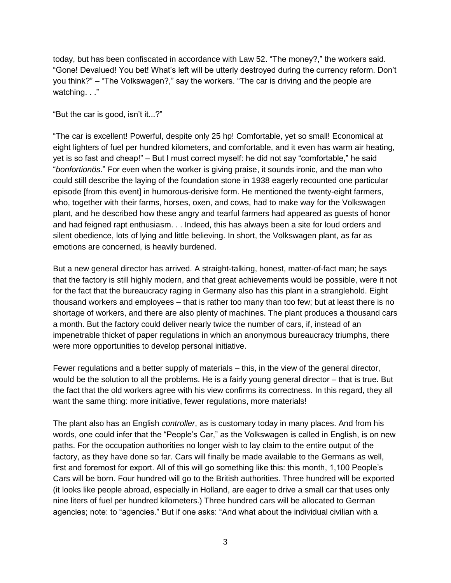today, but has been confiscated in accordance with Law 52. "The money?," the workers said. "Gone! Devalued! You bet! What's left will be utterly destroyed during the currency reform. Don't you think?" – "The Volkswagen?," say the workers. "The car is driving and the people are watching. . ."

"But the car is good, isn't it...?"

"The car is excellent! Powerful, despite only 25 hp! Comfortable, yet so small! Economical at eight lighters of fuel per hundred kilometers, and comfortable, and it even has warm air heating, yet is so fast and cheap!" – But I must correct myself: he did not say "comfortable," he said "*bonfortionös*." For even when the worker is giving praise, it sounds ironic, and the man who could still describe the laying of the foundation stone in 1938 eagerly recounted one particular episode [from this event] in humorous-derisive form. He mentioned the twenty-eight farmers, who, together with their farms, horses, oxen, and cows, had to make way for the Volkswagen plant, and he described how these angry and tearful farmers had appeared as guests of honor and had feigned rapt enthusiasm. . . Indeed, this has always been a site for loud orders and silent obedience, lots of lying and little believing. In short, the Volkswagen plant, as far as emotions are concerned, is heavily burdened.

But a new general director has arrived. A straight-talking, honest, matter-of-fact man; he says that the factory is still highly modern, and that great achievements would be possible, were it not for the fact that the bureaucracy raging in Germany also has this plant in a stranglehold. Eight thousand workers and employees – that is rather too many than too few; but at least there is no shortage of workers, and there are also plenty of machines. The plant produces a thousand cars a month. But the factory could deliver nearly twice the number of cars, if, instead of an impenetrable thicket of paper regulations in which an anonymous bureaucracy triumphs, there were more opportunities to develop personal initiative.

Fewer regulations and a better supply of materials – this, in the view of the general director, would be the solution to all the problems. He is a fairly young general director – that is true. But the fact that the old workers agree with his view confirms its correctness. In this regard, they all want the same thing: more initiative, fewer regulations, more materials!

The plant also has an English *controller*, as is customary today in many places. And from his words, one could infer that the "People's Car," as the Volkswagen is called in English, is on new paths. For the occupation authorities no longer wish to lay claim to the entire output of the factory, as they have done so far. Cars will finally be made available to the Germans as well, first and foremost for export. All of this will go something like this: this month, 1,100 People's Cars will be born. Four hundred will go to the British authorities. Three hundred will be exported (it looks like people abroad, especially in Holland, are eager to drive a small car that uses only nine liters of fuel per hundred kilometers.) Three hundred cars will be allocated to German agencies; note: to "agencies." But if one asks: "And what about the individual civilian with a